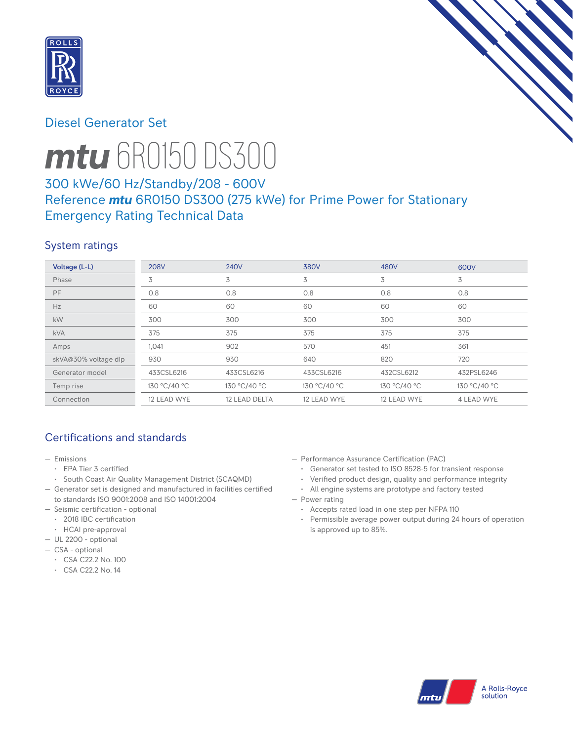

# Diesel Generator Set



# *mtu* 6R0150 DS300

# 300 kWe/60 Hz/Standby/208 - 600V Reference *mtu* 6R0150 DS300 (275 kWe) for Prime Power for Stationary Emergency Rating Technical Data

## System ratings

| Voltage (L-L)        | <b>208V</b>  | <b>240V</b>   | <b>380V</b>  | 480V         | 600V              |
|----------------------|--------------|---------------|--------------|--------------|-------------------|
| Phase                | 3            | 3             | 3            | 3            | 3                 |
| <b>PF</b>            | 0.8          | 0.8           | 0.8          | 0.8          | 0.8               |
| Hz                   | 60           | 60            | 60           | 60           | 60                |
| kW                   | 300          | 300           | 300          | 300          | 300               |
| <b>kVA</b>           | 375          | 375           | 375          | 375          | 375               |
| Amps                 | 1,041        | 902           | 570          | 451          | 361               |
| skVA@30% voltage dip | 930          | 930           | 640          | 820          | 720               |
| Generator model      | 433CSL6216   | 433CSL6216    | 433CSL6216   | 432CSL6212   | 432PSL6246        |
| Temp rise            | 130 °C/40 °C | 130 °C/40 °C  | 130 °C/40 °C | 130 °C/40 °C | 130 °C/40 °C      |
| Connection           | 12 LEAD WYE  | 12 LEAD DELTA | 12 LEAD WYE  | 12 LEAD WYE  | <b>4 LEAD WYE</b> |

# Certifications and standards

- Emissions
	- EPA Tier 3 certified
- South Coast Air Quality Management District (SCAQMD)
- Generator set is designed and manufactured in facilities certified to standards ISO 9001:2008 and ISO 14001:2004
- Seismic certification optional
- 2018 IBC certification
- HCAI pre-approval
- UL 2200 optional
- CSA optional
	- CSA C22.2 No. 100
	- CSA C22.2 No. 14
- Performance Assurance Certification (PAC)
	- Generator set tested to ISO 8528-5 for transient response
- Verified product design, quality and performance integrity
- All engine systems are prototype and factory tested
- Power rating
	- Accepts rated load in one step per NFPA 110
	- Permissible average power output during 24 hours of operation is approved up to 85%.

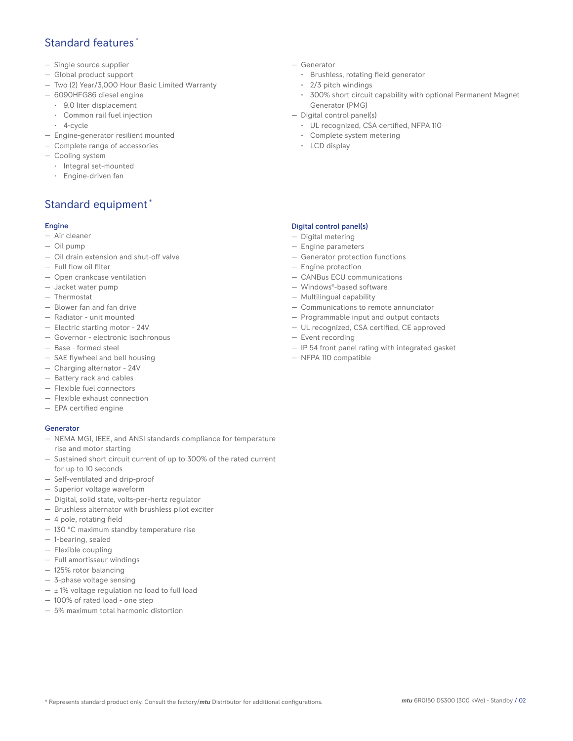## Standard features \*

- Single source supplier
- Global product support
- Two (2) Year/3,000 Hour Basic Limited Warranty
- 6090HFG86 diesel engine
	- 9.0 liter displacement
	- Common rail fuel injection
	- 4-cycle
- Engine-generator resilient mounted
- Complete range of accessories
- Cooling system
- Integral set-mounted
	- Engine-driven fan

# Standard equipment \*

### Engine

- Air cleaner
- Oil pump
- Oil drain extension and shut-off valve
- Full flow oil filter
- Open crankcase ventilation
- Jacket water pump
- Thermostat
- Blower fan and fan drive
- Radiator unit mounted
- Electric starting motor 24V
- Governor electronic isochronous
- Base formed steel
- SAE flywheel and bell housing
- Charging alternator 24V
- Battery rack and cables
- Flexible fuel connectors
- Flexible exhaust connection
- EPA certified engine

### **Generator**

- NEMA MG1, IEEE, and ANSI standards compliance for temperature rise and motor starting
- Sustained short circuit current of up to 300% of the rated current for up to 10 seconds
- Self-ventilated and drip-proof
- Superior voltage waveform
- Digital, solid state, volts-per-hertz regulator
- Brushless alternator with brushless pilot exciter
- 4 pole, rotating field
- 130 °C maximum standby temperature rise
- 1-bearing, sealed
- Flexible coupling
- Full amortisseur windings
- 125% rotor balancing
- 3-phase voltage sensing
- $\pm$  1% voltage regulation no load to full load
- 100% of rated load one step
- 5% maximum total harmonic distortion
- Generator
	- Brushless, rotating field generator
	- 2/3 pitch windings
	- 300% short circuit capability with optional Permanent Magnet Generator (PMG)
- Digital control panel(s)
	- UL recognized, CSA certified, NFPA 110
	- Complete system metering
	- LCD display

## Digital control panel(s)

- Digital metering
- Engine parameters
- Generator protection functions
- Engine protection
- CANBus ECU communications
- Windows®-based software
- Multilingual capability
- Communications to remote annunciator
- Programmable input and output contacts
- UL recognized, CSA certified, CE approved
- Event recording
- IP 54 front panel rating with integrated gasket
- NFPA 110 compatible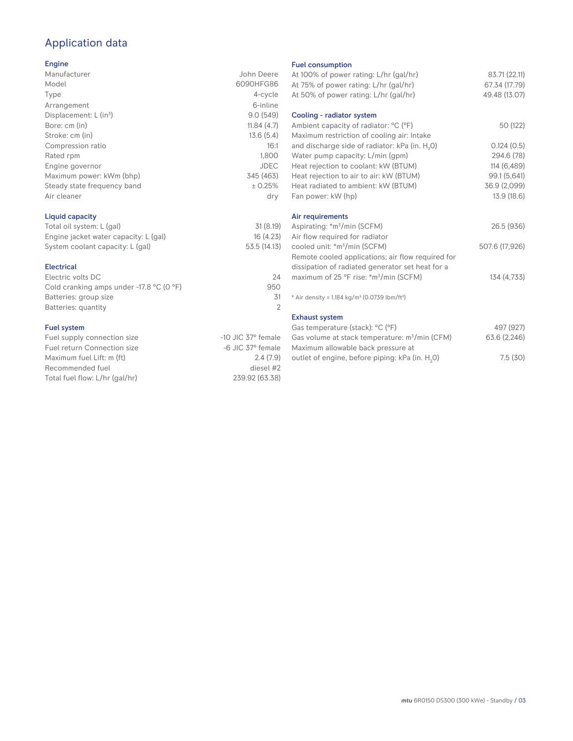# Application data

#### Engine

| Manufacturer                         | John Deere  |
|--------------------------------------|-------------|
| Model                                | 6090HFG86   |
| Type                                 | 4-cycle     |
| Arrangement                          | 6-inline    |
| Displacement: $L$ (in <sup>3</sup> ) | 9.0(549)    |
| Bore: cm (in)                        | 11.84(4.7)  |
| Stroke: cm (in)                      | 13.6(5.4)   |
| Compression ratio                    | 16:1        |
| Rated rpm                            | 1,800       |
| Engine governor                      | <b>JDEC</b> |
| Maximum power: kWm (bhp)             | 345 (463)   |
| Steady state frequency band          | ± 0.25%     |
| Air cleaner                          | dry         |
|                                      |             |

## Liquid capacity

| Total oil system: L (gal)             | 31(8.19)     |
|---------------------------------------|--------------|
| Engine jacket water capacity: L (gal) | 16(4.23)     |
| System coolant capacity: L (gal)      | 53.5 (14.13) |

#### Electrical

| Electric volts DC                                            | 24  |
|--------------------------------------------------------------|-----|
| Cold cranking amps under -17.8 $^{\circ}$ C (O $^{\circ}$ F) | 950 |
| Batteries: group size                                        | .31 |
| Batteries: quantity                                          |     |
|                                                              |     |

#### Fuel system

| $-10$ JIC 37 $\degree$ female |
|-------------------------------|
| $-6$ JIC 37 $\degree$ female  |
| 2.4(7.9)                      |
| diesel #2                     |
| 239.92 (63.38)                |
|                               |

#### Fuel consumption

| At 100% of power rating: L/hr (gal/hr)<br>At 75% of power rating: L/hr (gal/hr) | 83.71 (22.11)<br>67.34 (17.79) |
|---------------------------------------------------------------------------------|--------------------------------|
| At 50% of power rating: L/hr (gal/hr)                                           | 49.48 (13.07)                  |
| Cooling - radiator system                                                       |                                |
| Ambient capacity of radiator: °C (°F)                                           | 50 (122)                       |
| Maximum restriction of cooling air: Intake                                      |                                |
| and discharge side of radiator: kPa (in. H <sub>2</sub> 0)                      | 0.124(0.5)                     |
| Water pump capacity: L/min (gpm)                                                | 294.6 (78)                     |
| Heat rejection to coolant: kW (BTUM)                                            | 114 (6,489)                    |
| Heat rejection to air to air: kW (BTUM)                                         | 99.1 (5,641)                   |
| Heat radiated to ambient: kW (BTUM)                                             | 36.9 (2,099)                   |
| Fan power: kW (hp)                                                              | 13.9 (18.6)                    |
| Air requirements                                                                |                                |
| Aspirating: *m <sup>3</sup> /min (SCFM)                                         | 26.5 (936)                     |
| Air flow required for radiator                                                  |                                |
| cooled unit: *m <sup>3</sup> /min (SCFM)                                        | 507.6 (17,926)                 |
| Remote cooled applications; air flow required for                               |                                |
| dissipation of radiated generator set heat for a                                |                                |
| maximum of 25 °F rise: *m <sup>3</sup> /min (SCFM)                              | 134 (4,733)                    |
| * Air density = 1.184 kg/m <sup>3</sup> (0.0739 lbm/ft <sup>3</sup> )           |                                |
| <b>Exhaust system</b>                                                           |                                |
| Gas temperature (stack): °C (°F)                                                | 497 (927)                      |
| Gas volume at stack temperature: m <sup>3</sup> /min (CFM)                      | 63.6 (2,246)                   |
| Maximum allowable back pressure at                                              |                                |
| outlet of engine, before piping: kPa (in. H <sub>2</sub> 0)                     | 7.5(30)                        |
|                                                                                 |                                |